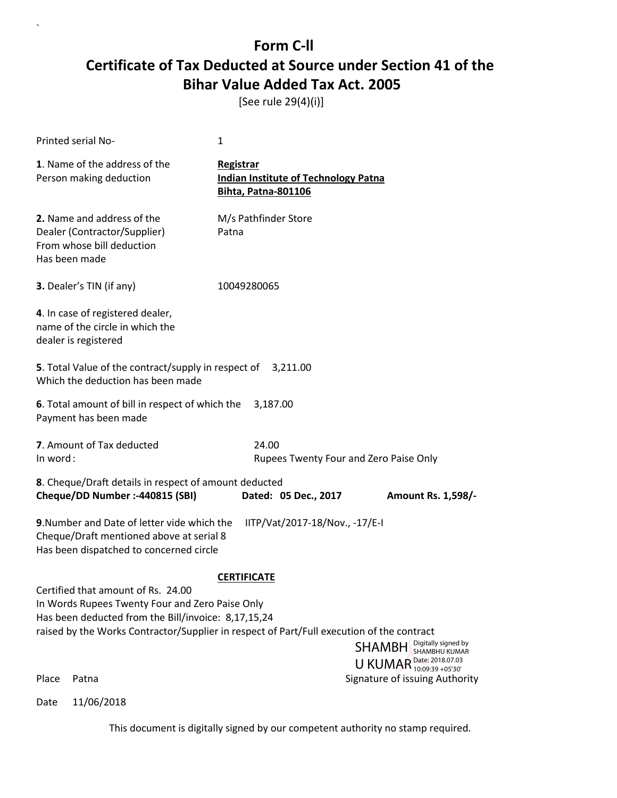[See rule 29(4)(i)]

 $\overline{\phantom{a}}$ 

| Printed serial No-                                                                                                                                                                                                                                          | 1                                                                                      |                                                                                                 |
|-------------------------------------------------------------------------------------------------------------------------------------------------------------------------------------------------------------------------------------------------------------|----------------------------------------------------------------------------------------|-------------------------------------------------------------------------------------------------|
| 1. Name of the address of the<br>Person making deduction                                                                                                                                                                                                    | Registrar<br><b>Indian Institute of Technology Patna</b><br><b>Bihta, Patna-801106</b> |                                                                                                 |
| 2. Name and address of the<br>Dealer (Contractor/Supplier)<br>From whose bill deduction<br>Has been made                                                                                                                                                    | M/s Pathfinder Store<br>Patna                                                          |                                                                                                 |
| <b>3.</b> Dealer's TIN (if any)                                                                                                                                                                                                                             | 10049280065                                                                            |                                                                                                 |
| 4. In case of registered dealer,<br>name of the circle in which the<br>dealer is registered                                                                                                                                                                 |                                                                                        |                                                                                                 |
| 5. Total Value of the contract/supply in respect of 3,211.00<br>Which the deduction has been made                                                                                                                                                           |                                                                                        |                                                                                                 |
| 6. Total amount of bill in respect of which the<br>Payment has been made                                                                                                                                                                                    | 3,187.00                                                                               |                                                                                                 |
| 7. Amount of Tax deducted<br>In word:                                                                                                                                                                                                                       | 24.00<br>Rupees Twenty Four and Zero Paise Only                                        |                                                                                                 |
| 8. Cheque/Draft details in respect of amount deducted<br>Cheque/DD Number :- 440815 (SBI)                                                                                                                                                                   | Dated: 05 Dec., 2017                                                                   | Amount Rs. 1,598/-                                                                              |
| 9. Number and Date of letter vide which the<br>Cheque/Draft mentioned above at serial 8<br>Has been dispatched to concerned circle                                                                                                                          | IITP/Vat/2017-18/Nov., -17/E-I                                                         |                                                                                                 |
| Certified that amount of Rs. 24.00<br>In Words Rupees Twenty Four and Zero Paise Only<br>Has been deducted from the Bill/invoice: 8,17,15,24<br>raised by the Works Contractor/Supplier in respect of Part/Full execution of the contract<br>Place<br>Patna | <b>CERTIFICATE</b>                                                                     | <b>SHAMBH</b> Digitally signed by<br>U KUMAR Date: 2018.07.03<br>Signature of issuing Authority |
| 11/06/2018<br>Date                                                                                                                                                                                                                                          |                                                                                        |                                                                                                 |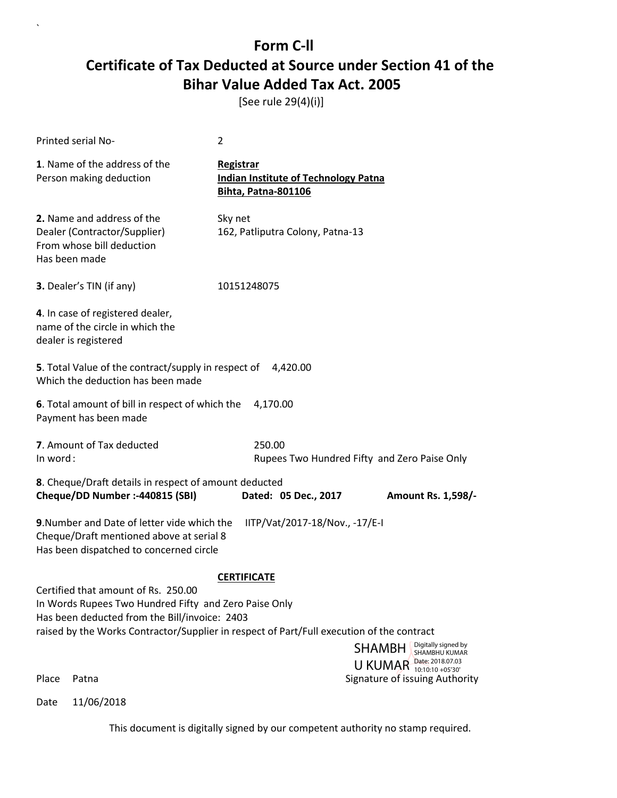[See rule 29(4)(i)]

 $\overline{\phantom{a}}$ 

|          | Printed serial No-                                                                                                                                                                                                                         | $\overline{2}$     |                                                                           |                                                                                   |
|----------|--------------------------------------------------------------------------------------------------------------------------------------------------------------------------------------------------------------------------------------------|--------------------|---------------------------------------------------------------------------|-----------------------------------------------------------------------------------|
|          | 1. Name of the address of the<br>Person making deduction                                                                                                                                                                                   | Registrar          | <b>Indian Institute of Technology Patna</b><br><b>Bihta, Patna-801106</b> |                                                                                   |
|          | 2. Name and address of the<br>Dealer (Contractor/Supplier)<br>From whose bill deduction<br>Has been made                                                                                                                                   | Sky net            | 162, Patliputra Colony, Patna-13                                          |                                                                                   |
|          | 3. Dealer's TIN (if any)                                                                                                                                                                                                                   | 10151248075        |                                                                           |                                                                                   |
|          | 4. In case of registered dealer,<br>name of the circle in which the<br>dealer is registered                                                                                                                                                |                    |                                                                           |                                                                                   |
|          | 5. Total Value of the contract/supply in respect of<br>Which the deduction has been made                                                                                                                                                   |                    | 4,420.00                                                                  |                                                                                   |
|          | 6. Total amount of bill in respect of which the<br>Payment has been made                                                                                                                                                                   |                    | 4,170.00                                                                  |                                                                                   |
| In word: | 7. Amount of Tax deducted                                                                                                                                                                                                                  |                    | 250.00                                                                    | Rupees Two Hundred Fifty and Zero Paise Only                                      |
|          | 8. Cheque/Draft details in respect of amount deducted<br>Cheque/DD Number :- 440815 (SBI)                                                                                                                                                  |                    | Dated: 05 Dec., 2017                                                      | Amount Rs. 1,598/-                                                                |
|          | 9. Number and Date of letter vide which the<br>Cheque/Draft mentioned above at serial 8<br>Has been dispatched to concerned circle                                                                                                         |                    | IITP/Vat/2017-18/Nov., -17/E-I                                            |                                                                                   |
|          |                                                                                                                                                                                                                                            | <b>CERTIFICATE</b> |                                                                           |                                                                                   |
|          | Certified that amount of Rs. 250.00<br>In Words Rupees Two Hundred Fifty and Zero Paise Only<br>Has been deducted from the Bill/invoice: 2403<br>raised by the Works Contractor/Supplier in respect of Part/Full execution of the contract |                    |                                                                           |                                                                                   |
|          |                                                                                                                                                                                                                                            |                    |                                                                           | Digitally signed by<br><b>SHAMBH</b><br>SHAMBHU KUMAR<br>U KUMAR Date: 2018.07.03 |
| Place    | Patna                                                                                                                                                                                                                                      |                    |                                                                           | Signature of issuing Authority                                                    |
| Date     | 11/06/2018                                                                                                                                                                                                                                 |                    |                                                                           |                                                                                   |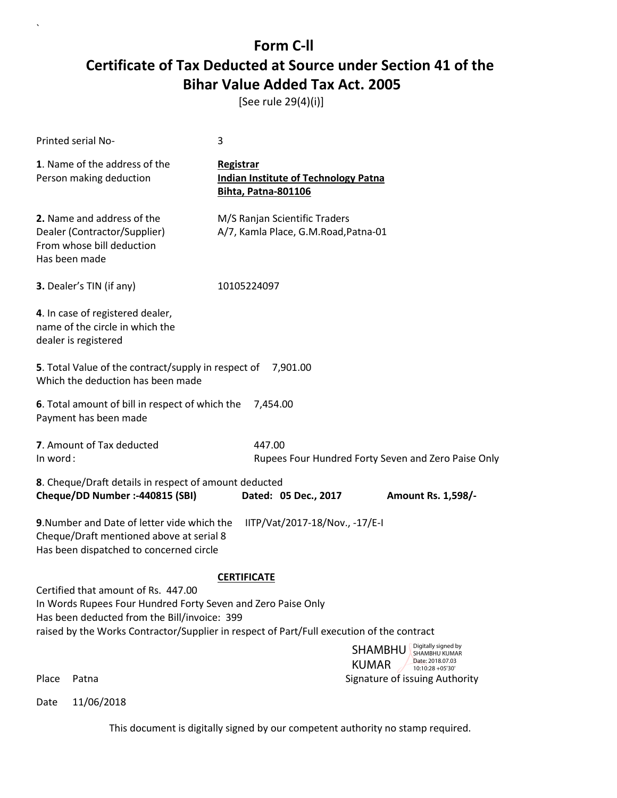[See rule 29(4)(i)]

 $\overline{\phantom{a}}$ 

| <b>Printed serial No-</b>                                                                                                                                                                                                                        | 3                                                                                             |  |  |  |
|--------------------------------------------------------------------------------------------------------------------------------------------------------------------------------------------------------------------------------------------------|-----------------------------------------------------------------------------------------------|--|--|--|
| 1. Name of the address of the<br>Person making deduction                                                                                                                                                                                         | <b>Registrar</b><br><b>Indian Institute of Technology Patna</b><br><b>Bihta, Patna-801106</b> |  |  |  |
| 2. Name and address of the<br>Dealer (Contractor/Supplier)<br>From whose bill deduction<br>Has been made                                                                                                                                         | M/S Ranjan Scientific Traders<br>A/7, Kamla Place, G.M.Road, Patna-01                         |  |  |  |
| 3. Dealer's TIN (if any)                                                                                                                                                                                                                         | 10105224097                                                                                   |  |  |  |
| 4. In case of registered dealer,<br>name of the circle in which the<br>dealer is registered                                                                                                                                                      |                                                                                               |  |  |  |
| 5. Total Value of the contract/supply in respect of 7,901.00<br>Which the deduction has been made                                                                                                                                                |                                                                                               |  |  |  |
| 6. Total amount of bill in respect of which the<br>7,454.00<br>Payment has been made                                                                                                                                                             |                                                                                               |  |  |  |
| 7. Amount of Tax deducted<br>In word:                                                                                                                                                                                                            | 447.00<br>Rupees Four Hundred Forty Seven and Zero Paise Only                                 |  |  |  |
| 8. Cheque/Draft details in respect of amount deducted<br>Cheque/DD Number :- 440815 (SBI)<br>Dated: 05 Dec., 2017<br><b>Amount Rs. 1,598/-</b>                                                                                                   |                                                                                               |  |  |  |
| 9. Number and Date of letter vide which the<br>IITP/Vat/2017-18/Nov., -17/E-I<br>Cheque/Draft mentioned above at serial 8<br>Has been dispatched to concerned circle                                                                             |                                                                                               |  |  |  |
| <b>CERTIFICATE</b>                                                                                                                                                                                                                               |                                                                                               |  |  |  |
| Certified that amount of Rs. 447.00<br>In Words Rupees Four Hundred Forty Seven and Zero Paise Only<br>Has been deducted from the Bill/invoice: 399<br>raised by the Works Contractor/Supplier in respect of Part/Full execution of the contract |                                                                                               |  |  |  |
|                                                                                                                                                                                                                                                  | Digitally signed by<br><b>SHAMBHU</b><br><b>SHAMBHU KUMAR</b>                                 |  |  |  |
|                                                                                                                                                                                                                                                  | Date: 2018.07.03<br><b>KUMAR</b><br>10:10:28 +05'30'                                          |  |  |  |
| Place<br>Patna                                                                                                                                                                                                                                   | Signature of issuing Authority                                                                |  |  |  |
| 11/06/2018<br>Date                                                                                                                                                                                                                               |                                                                                               |  |  |  |